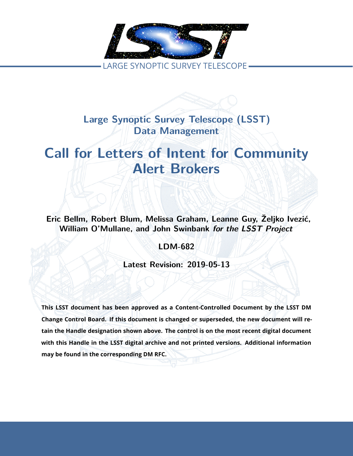

**Large Synoptic Survey Telescope (LSST) Data Management**

# **Call for Letters of Intent for Community Alert Brokers**

**Eric Bellm, Robert Blum, Melissa Graham, Leanne Guy, Željko Ivezić, William O'Mullane, and John Swinbank** *for the LSST Project*

**LDM-682**

**Latest Revision: 2019-05-13**

**This LSST document has been approved as a Content-Controlled Document by the LSST DM Change Control Board. If this document is changed or superseded, the new document will retain the Handle designation shown above. The control is on the most recent digital document with this Handle in the LSST digital archive and not printed versions. Additional information may be found in the corresponding DM RFC.**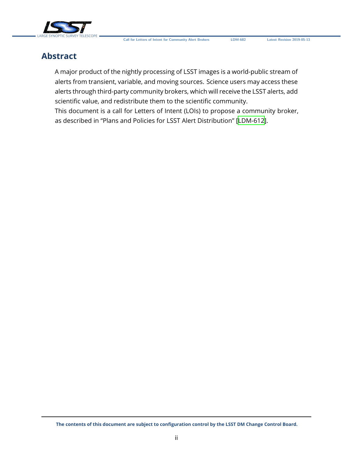

# **Abstract**

A major product of the nightly processing of LSST images is a world-public stream of alerts from transient, variable, and moving sources. Science users may access these alerts through third-party community brokers, which will receive the LSST alerts, add scientific value, and redistribute them to the scientific community.

This document is a call for Letters of Intent (LOIs) to propose a community broker, as described in "Plans and Policies for LSST Alert Distribution" [\[LDM-612\]](#page-6-0).

**The contents of this document are subject to configuration control by the LSST DM Change Control Board.**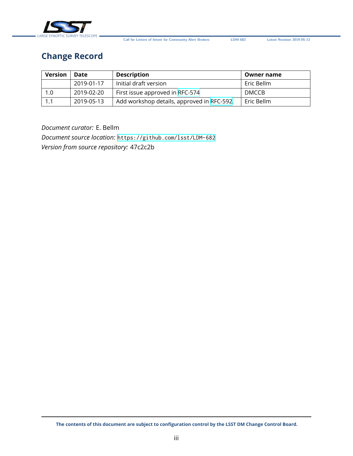

**Call for Letters of Intent for Community Alert Brokers LDM-682 Latest Revision 2019-05-13**

# **Change Record**

| <b>Version</b> | Date       | <b>Description</b>                         | <b>Owner name</b> |
|----------------|------------|--------------------------------------------|-------------------|
|                | 2019-01-17 | Initial draft version                      | Eric Bellm        |
| 1.0            | 2019-02-20 | First issue approved in RFC-574            | DMCCB             |
| 1.1            | 2019-05-13 | Add workshop details, approved in RFC-592. | Eric Bellm        |

*Document curator:* E. Bellm

*Document source location:* <https://github.com/lsst/LDM-682> *Version from source repository:* 47c2c2b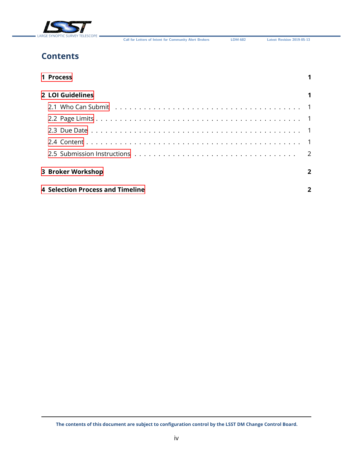

**Call for Letters of Intent for Community Alert Brokers LDM-682 Latest Revision 2019-05-13**

# **Contents**

| 1 Process                               |                |
|-----------------------------------------|----------------|
| 2 LOI Guidelines                        |                |
|                                         |                |
|                                         |                |
|                                         |                |
|                                         |                |
|                                         |                |
| 3 Broker Workshop                       | $\overline{2}$ |
| <b>4 Selection Process and Timeline</b> |                |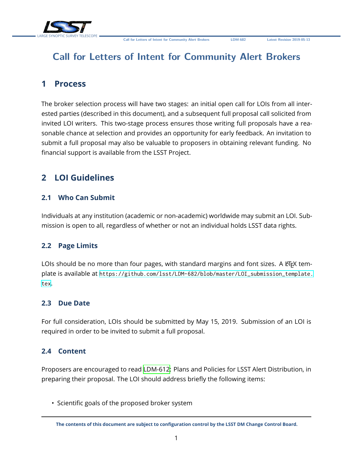

# **Call for Letters of Intent for Community Alert Brokers**

### <span id="page-4-0"></span>**1 Process**

The broker selection process will have two stages: an initial open call for LOIs from all interested parties (described in this document), and a subsequent full proposal call solicited from invited LOI writers. This two-stage process ensures those writing full proposals have a reasonable chance at selection and provides an opportunity for early feedback. An invitation to submit a full proposal may also be valuable to proposers in obtaining relevant funding. No financial support is available from the LSST Project.

# <span id="page-4-2"></span><span id="page-4-1"></span>**2 LOI Guidelines**

#### **2.1 Who Can Submit**

Individuals at any institution (academic or non-academic) worldwide may submit an LOI. Submission is open to all, regardless of whether or not an individual holds LSST data rights.

#### <span id="page-4-3"></span>**2.2 Page Limits**

LOIs should be no more than four pages, with standard margins and font sizes. A ETFX template is available at [https://github.com/lsst/LDM-682/blob/master/LOI\\_submission\\_template.](https://github.com/lsst/LDM-682/blob/master/LOI_submission_template.tex) [tex](https://github.com/lsst/LDM-682/blob/master/LOI_submission_template.tex).

#### <span id="page-4-4"></span>**2.3 Due Date**

For full consideration, LOIs should be submitted by May 15, 2019. Submission of an LOI is required in order to be invited to submit a full proposal.

#### <span id="page-4-5"></span>**2.4 Content**

Proposers are encouraged to read [LDM-612](#page-6-0): Plans and Policies for LSST Alert Distribution, in preparing their proposal. The LOI should address briefly the following items:

• Scientific goals of the proposed broker system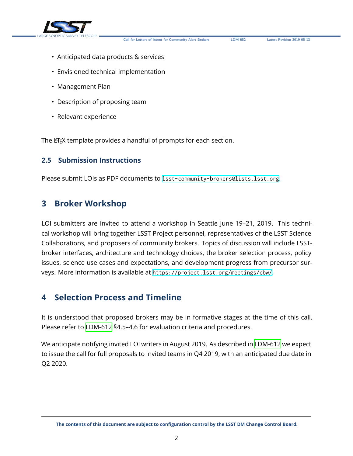

**Call for Letters of Intent for Community Alert Brokers LDM-682 Latest Revision 2019-05-13**

- Anticipated data products & services
- Envisioned technical implementation
- Management Plan
- Description of proposing team
- Relevant experience

The ET<sub>E</sub>X template provides a handful of prompts for each section.

#### <span id="page-5-0"></span>**2.5 Submission Instructions**

Please submit LOIs as PDF documents to <lsst-community-brokers@lists.lsst.org>.

### <span id="page-5-1"></span>**3 Broker Workshop**

LOI submitters are invited to attend a workshop in Seattle June 19–21, 2019. This technical workshop will bring together LSST Project personnel, representatives of the LSST Science Collaborations, and proposers of community brokers. Topics of discussion will include LSSTbroker interfaces, architecture and technology choices, the broker selection process, policy issues, science use cases and expectations, and development progress from precursor surveys. More information is available at <https://project.lsst.org/meetings/cbw/>.

## <span id="page-5-2"></span>**4 Selection Process and Timeline**

It is understood that proposed brokers may be in formative stages at the time of this call. Please refer to [LDM-612](#page-6-0) §4.5–4.6 for evaluation criteria and procedures.

We anticipate notifying invited LOI writers in August 2019. As described in [LDM-612](#page-6-0) we expect to issue the call for full proposals to invited teams in Q4 2019, with an anticipated due date in Q2 2020.

**The contents of this document are subject to configuration control by the LSST DM Change Control Board.**